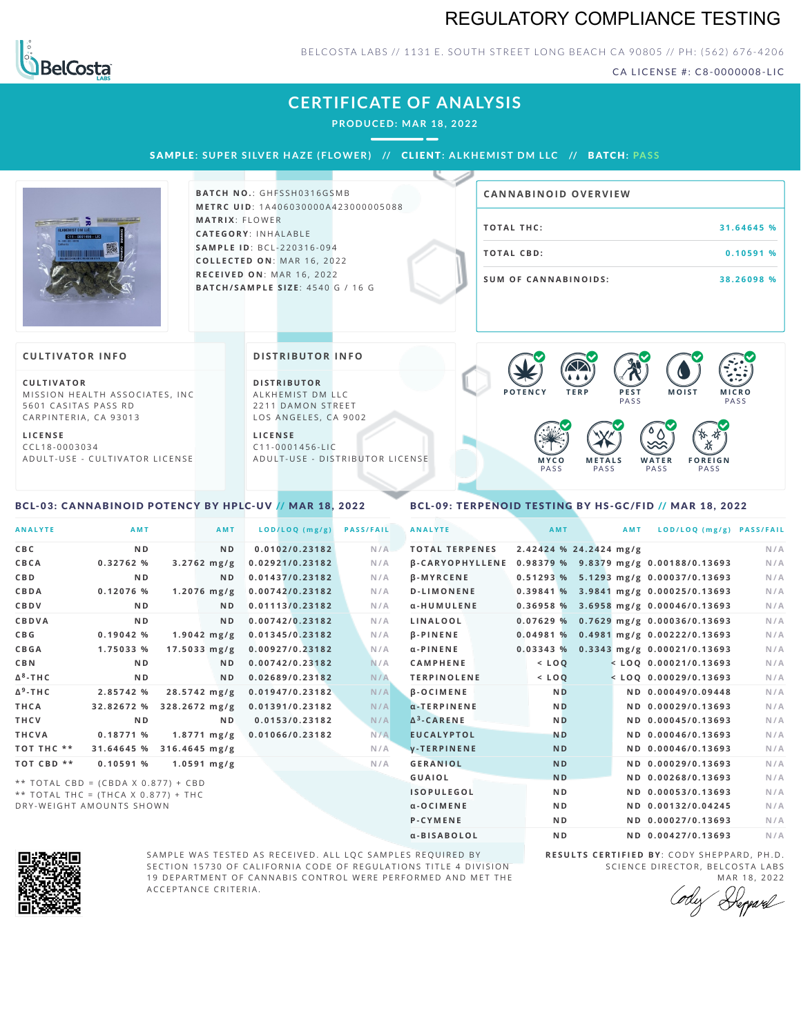## REGULATORY COMPLIANCE TESTING



#### BELCOSTA LABS // 1131 E. SOUTH STREET LONG BEACH CA 90805 // PH: (562) 676-4206

CA LICENSE #: C8-0000008-LIC

## **CERTIFICATE OF ANALYSIS**

**PRODUCED: MA R 18, 2022**

SAMPLE: SUPER SILVER HAZE (FLOWER) // CLIENT: ALKHEMIST DM LLC // BATCH: PASS



**BATCH NO.: GHFSSH0316GSMB M E T R C U ID** :1 A 4 0 6 0 3 0 0 0 0 A 4 2 3 0 0 0 0 0 5 0 8 8 **MATRIX: FLOWER CAT E G O R Y** : I N H A L A B L E **SA M P L E I D** :B C L - 2 2 0 3 1 6 - 0 9 4  $COLLECTED ON: MAR 16, 2022$ **R E C E I V E D O N** : M A R 1 6 ,2 0 2 2 **BAT C H / SA M P L E S I Z E** : 4 5 4 0 G / 1 6 G

# **T O TAL T H C :3 1 . 6 4 6 4 5 % T O TAL CB D :0 . 1 0 5 9 1 % S U M O F CA N N ABI N O I D S : 3 8 . 2 6 0 9 8 % CA N N ABI N OID OVERVI EW**

#### **CULTIVATOR I N FO**

**C U L T I VAT O R** MISSION HEALTH ASSOCIATES, INC 5601 CASITAS PASS RD CARPINTERIA, CA 93013

**L I C E N S E** C C L 1 8 - 0 0 0 3 0 3 4 A D U L T - U S E - C U L T I V A T O R L I C E N S E **DI STRIBUTOR I N FO**

**D I S T R IB U T O R** ALKHEMIST DM LLC 2211 DAMON STREET LOS ANGELES, CA 9002

**L I C E N S E**  $C11 - 0001456 - HC$ A D U L T - U S E - D I STRIBUTOR LICENSE



#### <span id="page-0-0"></span>BCL-03: CANNABINOID POTENCY BY HPLC-UV // MAR 18, 2022

#### <span id="page-0-1"></span>BCL-09: TERPENOID TESTING BY HS-GC/FID // MAR 18, 2022

| <b>ANALYTE</b>  | <b>AMT</b>                          | AMT                    | LOD/LOQ (mg/g)  | <b>PASS/FAIL</b> | <b>ANALYTE</b>                                        | AMT            | AMT                    | LOD/LOQ (mg/g) PASS/FAIL                |     |
|-----------------|-------------------------------------|------------------------|-----------------|------------------|-------------------------------------------------------|----------------|------------------------|-----------------------------------------|-----|
| C B C           | N <sub>D</sub>                      | N <sub>D</sub>         | 0.0102/0.23182  | N/A              | <b>TOTAL TERPENES</b>                                 |                | 2.42424 % 24.2424 mg/g |                                         | N/A |
| CBCA            | 0.32762%                            | $3.2762$ mg/g          | 0.02921/0.23182 | N/A              | β-CARYOPHYLLENE 0.98379 % 9.8379 mg/g 0.00188/0.13693 |                |                        |                                         | N/A |
| <b>CBD</b>      | N <sub>D</sub>                      | ND.                    | 0.01437/0.23182 | N/A              | $\beta$ -MYRCENE                                      |                |                        | 0.51293 % 5.1293 mg/g 0.00037/0.13693   | N/A |
| CBDA            | 0.12076 %                           | $1.2076$ mg/g          | 0.00742/0.23182 | N/A              | <b>D-LIMONENE</b>                                     |                |                        | 0.39841 % 3.9841 mg/g 0.00025/0.13693   | N/A |
| CBDV            | N <sub>D</sub>                      | ND.                    | 0.01113/0.23182 | N/A              | α-HUMULENE                                            |                |                        | 0.36958 % 3.6958 mg/g 0.00046/0.13693   | N/A |
| <b>CBDVA</b>    | N <sub>D</sub>                      | ND.                    | 0.00742/0.23182 | N/A              | LINALOOL                                              |                |                        | $0.07629$ % 0.7629 mg/g 0.00036/0.13693 | N/A |
| C B G           | $0.19042$ %                         | $1.9042$ mg/g          | 0.01345/0.23182 | N/A              | <b>B-PINENE</b>                                       |                |                        | $0.04981\%$ 0.4981 mg/g 0.00222/0.13693 | N/A |
| CBGA            | 1.75033 %                           | $17.5033$ mg/g         | 0.00927/0.23182 | N/A              | $\alpha$ -PINENE                                      |                |                        | 0.03343 % 0.3343 mg/g 0.00021/0.13693   | N/A |
| <b>CBN</b>      | N <sub>D</sub>                      | N <sub>D</sub>         | 0.00742/0.23182 | N/A              | <b>CAMPHENE</b>                                       | $<$ LOQ        |                        | $<$ LOQ 0.00021/0.13693                 | N/A |
| $\Delta^8$ -THC | N <sub>D</sub>                      | ND.                    | 0.02689/0.23182 | N/A              | <b>TERPINOLENE</b>                                    | $<$ LOQ        |                        | $<$ LOQ 0.00029/0.13693                 | N/A |
| $\Delta^9$ -THC | 2.85742 %                           | $28.5742 \text{ mg/g}$ | 0.01947/0.23182 | N/A              | $\beta$ -OCIMENE                                      | <b>ND</b>      |                        | ND 0.00049/0.09448                      | N/A |
| THCA            | 32.82672 %                          | 328.2672 mg/g          | 0.01391/0.23182 | N/A              | $\alpha$ -TERPINENE                                   | <b>ND</b>      |                        | ND 0.00029/0.13693                      | N/A |
| THCV            | N <sub>D</sub>                      | N <sub>D</sub>         | 0.0153/0.23182  | N/A              | $\Delta^3$ -CARENE                                    | <b>ND</b>      |                        | ND 0.00045/0.13693                      | N/A |
| THCVA           | 0.18771%                            | $1.8771 \text{ mg/g}$  | 0.01066/0.23182 | N/A              | <b>EUCALYPTOL</b>                                     | <b>ND</b>      |                        | ND 0.00046/0.13693                      | N/A |
| TOT THC **      | 31.64645 %                          | $316.4645$ mg/g        |                 | N/A              | <b>y-TERPINENE</b>                                    | <b>ND</b>      |                        | ND 0.00046/0.13693                      | N/A |
| TOT CBD **      | 0.10591%                            | $1.0591$ mg/g          |                 | N/A              | <b>GERANIOL</b>                                       | <b>ND</b>      |                        | ND 0.00029/0.13693                      | N/A |
|                 | ** TOTAL CBD = (CBDA X 0.877) + CBD |                        |                 |                  | <b>GUAIOL</b>                                         | <b>ND</b>      |                        | ND 0.00268/0.13693                      | N/A |
|                 | ** TOTAL THC = (THCA X 0.877) + THC |                        |                 |                  | <b>ISOPULEGOL</b>                                     | N <sub>D</sub> |                        | ND 0.00053/0.13693                      | N/A |
|                 | DRY-WEIGHT AMOUNTS SHOWN            |                        |                 |                  | $a - O$ C I M E N E                                   | N <sub>D</sub> |                        | ND 0.00132/0.04245                      | N/A |



SAMPLE WAS TESTED AS RECEIVED. ALL LQC SAMPLES REQUIRED BY SECTION 15730 OF CALIFORNIA CODE OF REGULATIONS TITLE 4 DIVISION 19 DEPARTMENT OF CANNABIS CONTROL WERE PERFORMED AND MET THE A C C E P T A N C E C R I T E R I A .

**R E S U L T S C E R T I F I E D BY** : C O D Y S H E P P A R D ,P H .D . SCIENCE DIRECTOR, BELCOSTA LABS

P-CYMENE ND ND ND 0.00027/0.13693 N/A α-BISABOLOL **ND ND 0.00427/0.13693** N/A

MAR 18, 2022<br>*Heppard*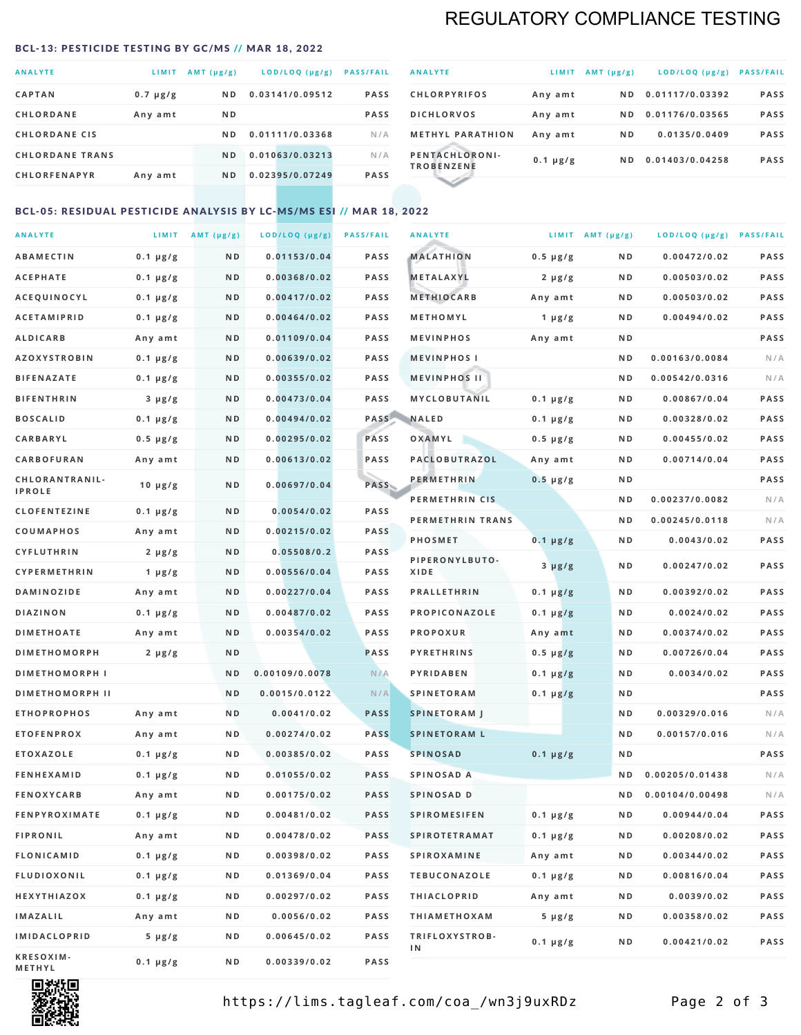# REGULATORY COMPLIANCE TESTING

#### <span id="page-1-0"></span>BCL-13: PESTICIDE TESTING BY GC/MS // MAR 18, 2022

| <b>ANALYTE</b>         | LIMIT         | AMT (µg/g)     | LOD/LOQ (µg/g)  | <b>PASS/FAIL</b> |
|------------------------|---------------|----------------|-----------------|------------------|
| <b>CAPTAN</b>          | $0.7 \mu g/g$ | N <sub>D</sub> | 0.03141/0.09512 | <b>PASS</b>      |
| <b>CHLORDANE</b>       | Any amt       | N <sub>D</sub> |                 | <b>PASS</b>      |
| <b>CHLORDANE CIS</b>   |               | N D            | 0.01111/0.03368 | N/A              |
| <b>CHLORDANE TRANS</b> |               | ND.            | 0.01063/0.03213 | N/A              |
| <b>CHLORFENAPYR</b>    | Any amt       | N <sub>D</sub> | 0.02395/0.07249 | <b>PASS</b>      |

| <b>ANALYTE</b>                      | LIMIT         | $AMT (\mu g/g)$ | LOD/LOQ (µg/g)  | <b>PASS/FAIL</b> |
|-------------------------------------|---------------|-----------------|-----------------|------------------|
| <b>CHLORPYRIFOS</b>                 | Any amt       | N D             | 0.01117/0.03392 | <b>PASS</b>      |
| <b>DICHLORVOS</b>                   | Any amt       | ND.             | 0.01176/0.03565 | <b>PASS</b>      |
| <b>METHYL PARATHION</b>             | Any amt       | N <sub>D</sub>  | 0.0135/0.0409   | <b>PASS</b>      |
| PENTACHLORONI-<br><b>TROBENZENE</b> | $0.1 \mu g/g$ | ND.             | 0.01403/0.04258 | <b>PASS</b>      |
|                                     |               |                 |                 |                  |

### BCL-05: RESIDUAL PESTICIDE ANALYSIS BY LC-MS/MS ESI // MAR 18, 2022

| <b>ANALYTE</b>             |                  | LIMIT $AMT (\mu g/g)$ | LOD/LOQ (µg/g) | <b>PASS/FAIL</b> | <b>ANALYTE</b>       |                  | LIMIT AMT $(\mu g/g)$ | LOD/LOQ (µg/g) PASS/FAIL |             |
|----------------------------|------------------|-----------------------|----------------|------------------|----------------------|------------------|-----------------------|--------------------------|-------------|
| <b>ABAMECTIN</b>           | $0.1 \mu g/g$    | N D                   | 0.01153/0.04   | <b>PASS</b>      | <b>MALATHION</b>     | $0.5 \mu g/g$    | N D                   | 0.00472/0.02             | <b>PASS</b> |
| <b>ACEPHATE</b>            | $0.1 \mu g/g$    | N D                   | 0.00368/0.02   | <b>PASS</b>      | <b>METALAXYL</b>     | $2 \mu g/g$      | N D                   | 0.00503/0.02             | PASS        |
| ACEQUINOCYL                | $0.1 \mu g/g$    | N D                   | 0.00417/0.02   | <b>PASS</b>      | <b>METHIOCARB</b>    | Any amt          | N D                   | 0.00503/0.02             | PASS        |
| <b>ACETAMIPRID</b>         | $0.1 \mu g/g$    | N D                   | 0.00464/0.02   | PASS             | METHOMYL             | 1 $\mu$ g/g      | N D                   | 0.00494/0.02             | PASS        |
| <b>ALDICARB</b>            | Any amt          | ND                    | 0.01109/0.04   | <b>PASS</b>      | <b>MEVINPHOS</b>     | Any amt          | N D                   |                          | PASS        |
| <b>AZOXYSTROBIN</b>        | $0.1 \mu g/g$    | N D                   | 0.00639/0.02   | <b>PASS</b>      | <b>MEVINPHOSI</b>    |                  | N D                   | 0.00163/0.0084           | N/A         |
| <b>BIFENAZATE</b>          | $0.1 \mu g/g$    | N D                   | 0.00355/0.02   | <b>PASS</b>      | <b>MEVINPHOS II</b>  |                  | N D                   | 0.00542/0.0316           | N/A         |
| <b>BIFENTHRIN</b>          | $3 \mu g/g$      | ND                    | 0.00473/0.04   | <b>PASS</b>      | MYCLOBUTANIL         | $0.1 \mu g/g$    | N D                   | 0.00867/0.04             | PASS        |
| <b>BOSCALID</b>            | $0.1 \mu g/g$    | N D                   | 0.00494/0.02   |                  | PASS NALED           | 0.1 µg/g         | N D                   | 0.00328/0.02             | PASS        |
| CARBARYL                   | $0.5 \, \mu g/g$ | N D                   | 0.00295/0.02   | PASS             | OXAMYL               | $0.5 \, \mu g/g$ | N D                   | 0.00455/0.02             | PASS        |
| CARBOFURAN                 | Any amt          | N D                   | 0.00613/0.02   | PASS             | PACLOBUTRAZOL        | Any amt          | N D                   | 0.00714/0.04             | PASS        |
| CHLORANTRANIL-             | $10 \mu g/g$     | N D                   | 0.00697/0.04   | PASS             | <b>PERMETHRIN</b>    | $0.5 \mu g/g$    | N D                   |                          | PASS        |
| <b>IPROLE</b>              |                  |                       |                |                  | PERMETHRIN CIS       |                  | N D                   | 0.00237/0.0082           | N/A         |
| <b>CLOFENTEZINE</b>        | $0.1 \mu g/g$    | N D                   | 0.0054/0.02    | <b>PASS</b>      | PERMETHRIN TRANS     |                  | N D                   | 0.00245/0.0118           | N/A         |
| COUMAPHOS                  | Any amt          | N D                   | 0.00215/0.02   | <b>PASS</b>      | <b>PHOSMET</b>       | $0.1 \mu g/g$    | N D                   | 0.0043/0.02              | PASS        |
| CYFLUTHRIN                 | $2 \mu g/g$      | N D                   | 0.05508/0.2    | <b>PASS</b>      | PIPERONYLBUTO-       | $3 \mu g/g$      | N D                   | 0.00247/0.02             | PASS        |
| <b>CYPERMETHRIN</b>        | 1 $\mu$ g/g      | N D                   | 0.00556/0.04   | <b>PASS</b>      | XIDE                 |                  |                       |                          |             |
| <b>DAMINOZIDE</b>          | Any amt          | N D                   | 0.00227/0.04   | PASS             | <b>PRALLETHRIN</b>   | $0.1 \mu g/g$    | N D                   | 0.00392/0.02             | PASS        |
| <b>DIAZINON</b>            | $0.1 \mu g/g$    | N D                   | 0.00487/0.02   | <b>PASS</b>      | PROPICONAZOLE        | $0.1 \mu g/g$    | N D                   | 0.0024/0.02              | PASS        |
| <b>DIMETHOATE</b>          | Any amt          | N D                   | 0.00354/0.02   | <b>PASS</b>      | <b>PROPOXUR</b>      | Any amt          | N D                   | 0.00374/0.02             | PASS        |
| <b>DIMETHOMORPH</b>        | $2 \mu g/g$      | N D                   |                | <b>PASS</b>      | <b>PYRETHRINS</b>    | $0.5 \mu g/g$    | N D                   | 0.00726/0.04             | PASS        |
| <b>DIMETHOMORPH I</b>      |                  | N D                   | 0.00109/0.0078 | N/A              | <b>PYRIDABEN</b>     | $0.1 \mu g/g$    | N D                   | 0.0034/0.02              | PASS        |
| <b>DIMETHOMORPH II</b>     |                  | ND                    | 0.0015/0.0122  | N/A              | <b>SPINETORAM</b>    | $0.1 \mu g/g$    | N D                   |                          | PASS        |
| <b>ETHOPROPHOS</b>         | Any amt          | N D                   | 0.0041/0.02    | <b>PASS</b>      | <b>SPINETORAM J</b>  |                  | N D                   | 0.00329/0.016            | N/A         |
| <b>ETOFENPROX</b>          | Any amt          | N D                   | 0.00274/0.02   | <b>PASS</b>      | <b>SPINETORAM L</b>  |                  | N D                   | 0.00157/0.016            | N/A         |
| <b>ETOXAZOLE</b>           | $0.1 \mu g/g$    | N D                   | 0.00385/0.02   | PASS             | <b>SPINOSAD</b>      | $0.1 \mu g/g$    | N D                   |                          | PASS        |
| <b>FENHEXAMID</b>          | $0.1 \mu g/g$    | N D                   | 0.01055/0.02   | <b>PASS</b>      | SPINOSAD A           |                  | N D                   | 0.00205/0.01438          | N/A         |
| <b>FENOXYCARB</b>          | Any amt          | N D                   | 0.00175/0.02   | <b>PASS</b>      | SPINOSAD D           |                  | N D                   | 0.00104/0.00498          | N/A         |
| <b>FENPYROXIMATE</b>       | 0.1 µg/g         | N D                   | 0.00481/0.02   | <b>PASS</b>      | <b>SPIROMESIFEN</b>  | 0.1 µg/g         | N D                   | 0.00944/0.04             | PASS        |
| <b>FIPRONIL</b>            | Any amt          | N D                   | 0.00478/0.02   | PASS             | <b>SPIROTETRAMAT</b> | $0.1 \, \mu g/g$ | N D                   | 0.00208/0.02             | PASS        |
| FLONICAMID                 | $0.1 \mu g/g$    | N D                   | 0.00398/0.02   | PASS             | SPIROXAMINE          | Any amt          | N D                   | 0.00344/0.02             | PASS        |
| <b>FLUDIOXONIL</b>         | $0.1 \mu g/g$    | N D                   | 0.01369/0.04   | PASS             | <b>TEBUCONAZOLE</b>  | $0.1 \mu g/g$    | N D                   | 0.00816/0.04             | PASS        |
| HEXYTHIAZOX                | $0.1 \mu g/g$    | N D                   | 0.00297/0.02   | PASS             | <b>THIACLOPRID</b>   | Any amt          | N D                   | 0.0039/0.02              | PASS        |
| <b>IMAZALIL</b>            | Any amt          | N D                   | 0.0056/0.02    | PASS             | <b>THIAMETHOXAM</b>  | $5 \mu g/g$      | N D                   | 0.00358/0.02             | PASS        |
| <b>IMIDACLOPRID</b>        | 5 µg/g           | N D                   | 0.00645/0.02   | <b>PASS</b>      | TRIFLOXYSTROB-<br>ΙN | $0.1 \mu g/g$    | N D                   | 0.00421/0.02             | PASS        |
| KRESOXIM-<br><b>METHYL</b> | $0.1 \mu g/g$    | N D                   | 0.00339/0.02   | PASS             |                      |                  |                       |                          |             |